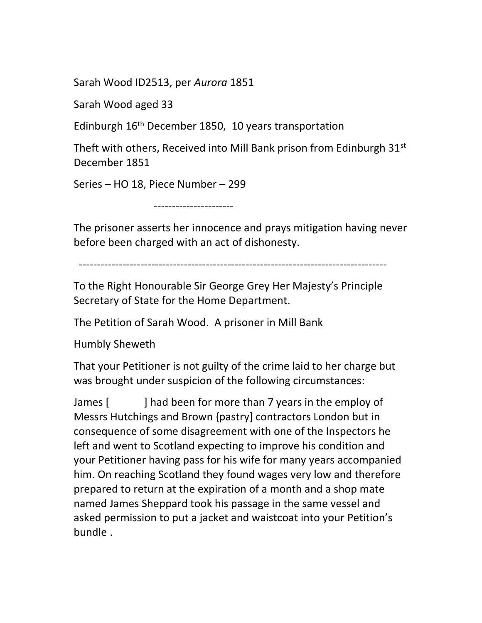Sarah Wood ID2513, per Aurora 1851

Sarah Wood aged 33

Edinburgh 16th December 1850, 10 years transportation

Theft with others, Received into Mill Bank prison from Edinburgh 31<sup>st</sup> December 1851

Series – HO 18, Piece Number – 299

----------------------

The prisoner asserts her innocence and prays mitigation having never before been charged with an act of dishonesty.

-------------------------------------------------------------------------------------

To the Right Honourable Sir George Grey Her Majesty's Principle Secretary of State for the Home Department.

The Petition of Sarah Wood. A prisoner in Mill Bank

Humbly Sheweth

That your Petitioner is not guilty of the crime laid to her charge but was brought under suspicion of the following circumstances:

James [ ] had been for more than 7 years in the employ of Messrs Hutchings and Brown {pastry] contractors London but in consequence of some disagreement with one of the Inspectors he left and went to Scotland expecting to improve his condition and your Petitioner having pass for his wife for many years accompanied him. On reaching Scotland they found wages very low and therefore prepared to return at the expiration of a month and a shop mate named James Sheppard took his passage in the same vessel and asked permission to put a jacket and waistcoat into your Petition's bundle .